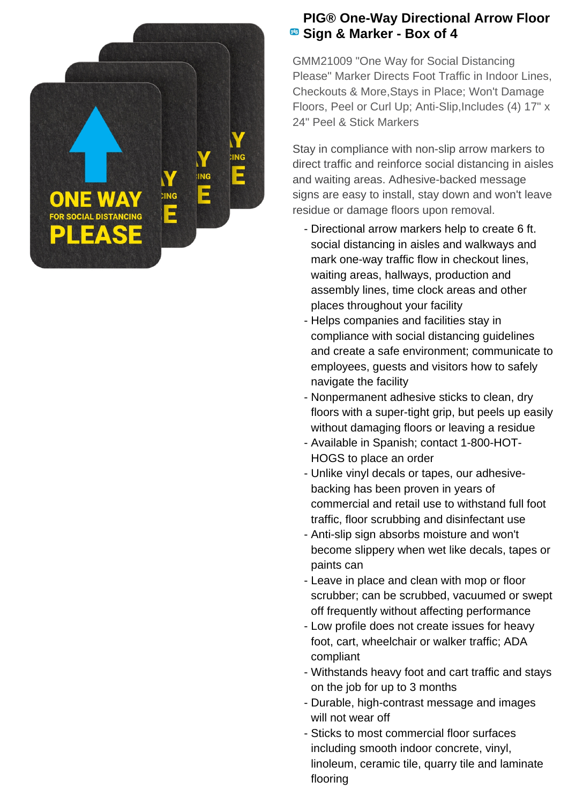

## **PIG® One-Way Directional Arrow Floor Sign & Marker - Box of 4**

GMM21009 "One Way for Social Distancing Please" Marker Directs Foot Traffic in Indoor Lines, Checkouts & More,Stays in Place; Won't Damage Floors, Peel or Curl Up; Anti-Slip,Includes (4) 17" x 24" Peel & Stick Markers

Stay in compliance with non-slip arrow markers to direct traffic and reinforce social distancing in aisles and waiting areas. Adhesive-backed message signs are easy to install, stay down and won't leave residue or damage floors upon removal.

- Directional arrow markers help to create 6 ft. social distancing in aisles and walkways and mark one-way traffic flow in checkout lines, waiting areas, hallways, production and assembly lines, time clock areas and other places throughout your facility
- Helps companies and facilities stay in compliance with social distancing guidelines and create a safe environment; communicate to employees, guests and visitors how to safely navigate the facility
- Nonpermanent adhesive sticks to clean, dry floors with a super-tight grip, but peels up easily without damaging floors or leaving a residue
- Available in Spanish; contact 1-800-HOT-HOGS to place an order
- Unlike vinyl decals or tapes, our adhesive- backing has been proven in years of commercial and retail use to withstand full foot traffic, floor scrubbing and disinfectant use
- Anti-slip sign absorbs moisture and won't become slippery when wet like decals, tapes or paints can
- Leave in place and clean with mop or floor scrubber; can be scrubbed, vacuumed or swept off frequently without affecting performance
- Low profile does not create issues for heavy foot, cart, wheelchair or walker traffic; ADA compliant
- Withstands heavy foot and cart traffic and stays on the job for up to 3 months
- Durable, high-contrast message and images will not wear off
- Sticks to most commercial floor surfaces including smooth indoor concrete, vinyl, linoleum, ceramic tile, quarry tile and laminate flooring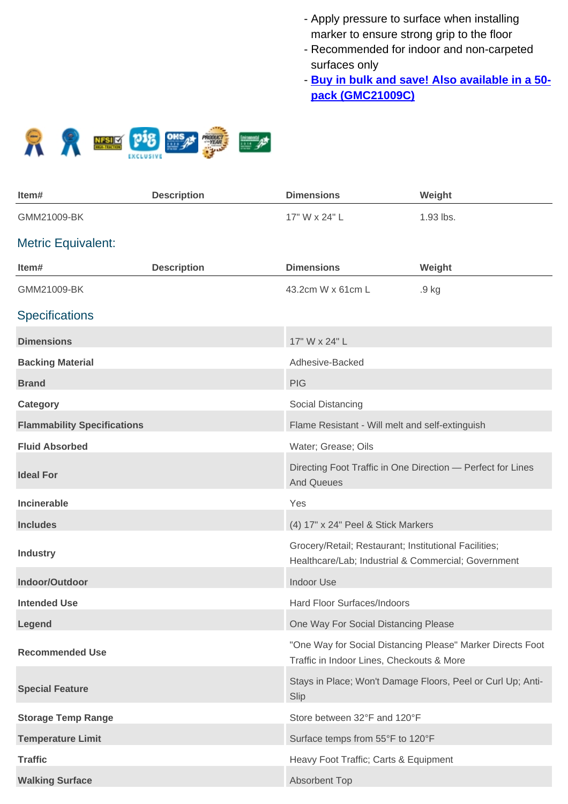- Apply pressure to surface when installing marker to ensure strong grip to the floor
- Recommended for indoor and non-carpeted surfaces only
- **Buy in bulk and save! Also available in a 50pack (GMC21009C)**



| Item#                              | <b>Description</b> | <b>Dimensions</b>                                                                                            | Weight                                                      |
|------------------------------------|--------------------|--------------------------------------------------------------------------------------------------------------|-------------------------------------------------------------|
| GMM21009-BK                        |                    | 17" W x 24" L                                                                                                | 1.93 lbs.                                                   |
| <b>Metric Equivalent:</b>          |                    |                                                                                                              |                                                             |
| Item#                              | <b>Description</b> | <b>Dimensions</b>                                                                                            | Weight                                                      |
| GMM21009-BK                        |                    | 43.2cm W x 61cm L                                                                                            | .9 kg                                                       |
| <b>Specifications</b>              |                    |                                                                                                              |                                                             |
| <b>Dimensions</b>                  |                    | 17" W x 24" L                                                                                                |                                                             |
| <b>Backing Material</b>            |                    | Adhesive-Backed                                                                                              |                                                             |
| <b>Brand</b>                       |                    | <b>PIG</b>                                                                                                   |                                                             |
| <b>Category</b>                    |                    | Social Distancing                                                                                            |                                                             |
| <b>Flammability Specifications</b> |                    | Flame Resistant - Will melt and self-extinguish                                                              |                                                             |
| <b>Fluid Absorbed</b>              |                    | Water; Grease; Oils                                                                                          |                                                             |
| <b>Ideal For</b>                   |                    | Directing Foot Traffic in One Direction - Perfect for Lines<br><b>And Queues</b>                             |                                                             |
| <b>Incinerable</b>                 |                    | Yes                                                                                                          |                                                             |
| <b>Includes</b>                    |                    | (4) 17" x 24" Peel & Stick Markers                                                                           |                                                             |
| <b>Industry</b>                    |                    | Grocery/Retail; Restaurant; Institutional Facilities;<br>Healthcare/Lab; Industrial & Commercial; Government |                                                             |
| Indoor/Outdoor                     |                    | <b>Indoor Use</b>                                                                                            |                                                             |
| <b>Intended Use</b>                |                    | Hard Floor Surfaces/Indoors                                                                                  |                                                             |
| Legend                             |                    | One Way For Social Distancing Please                                                                         |                                                             |
| <b>Recommended Use</b>             |                    | Traffic in Indoor Lines, Checkouts & More                                                                    | "One Way for Social Distancing Please" Marker Directs Foot  |
| <b>Special Feature</b>             |                    | Slip                                                                                                         | Stays in Place; Won't Damage Floors, Peel or Curl Up; Anti- |
| <b>Storage Temp Range</b>          |                    | Store between 32°F and 120°F                                                                                 |                                                             |
| <b>Temperature Limit</b>           |                    | Surface temps from 55°F to 120°F                                                                             |                                                             |
| <b>Traffic</b>                     |                    | Heavy Foot Traffic; Carts & Equipment                                                                        |                                                             |
| <b>Walking Surface</b>             |                    | Absorbent Top                                                                                                |                                                             |